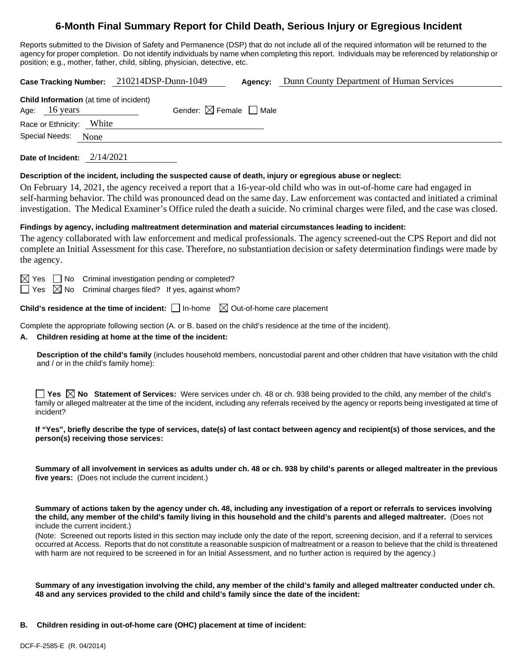# **6-Month Final Summary Report for Child Death, Serious Injury or Egregious Incident**

Reports submitted to the Division of Safety and Permanence (DSP) that do not include all of the required information will be returned to the agency for proper completion. Do not identify individuals by name when completing this report. Individuals may be referenced by relationship or position; e.g., mother, father, child, sibling, physician, detective, etc.

|                                                                                                                                                                                                                                                                                |                                                                                                                                                                                                                                                                                                     | Case Tracking Number: 210214DSP-Dunn-1049                                                     | Agency: | Dunn County Department of Human Services                                                                                                                                                                                                                                                                                                                                                                                    |  |  |  |
|--------------------------------------------------------------------------------------------------------------------------------------------------------------------------------------------------------------------------------------------------------------------------------|-----------------------------------------------------------------------------------------------------------------------------------------------------------------------------------------------------------------------------------------------------------------------------------------------------|-----------------------------------------------------------------------------------------------|---------|-----------------------------------------------------------------------------------------------------------------------------------------------------------------------------------------------------------------------------------------------------------------------------------------------------------------------------------------------------------------------------------------------------------------------------|--|--|--|
| Child Information (at time of incident)<br>Gender: $\boxtimes$ Female $\Box$ Male<br>16 years<br>Age:                                                                                                                                                                          |                                                                                                                                                                                                                                                                                                     |                                                                                               |         |                                                                                                                                                                                                                                                                                                                                                                                                                             |  |  |  |
|                                                                                                                                                                                                                                                                                | Race or Ethnicity: White                                                                                                                                                                                                                                                                            |                                                                                               |         |                                                                                                                                                                                                                                                                                                                                                                                                                             |  |  |  |
|                                                                                                                                                                                                                                                                                | Special Needs:<br>None                                                                                                                                                                                                                                                                              |                                                                                               |         |                                                                                                                                                                                                                                                                                                                                                                                                                             |  |  |  |
|                                                                                                                                                                                                                                                                                | Date of Incident: 2/14/2021                                                                                                                                                                                                                                                                         |                                                                                               |         |                                                                                                                                                                                                                                                                                                                                                                                                                             |  |  |  |
| Description of the incident, including the suspected cause of death, injury or egregious abuse or neglect:                                                                                                                                                                     |                                                                                                                                                                                                                                                                                                     |                                                                                               |         |                                                                                                                                                                                                                                                                                                                                                                                                                             |  |  |  |
|                                                                                                                                                                                                                                                                                |                                                                                                                                                                                                                                                                                                     |                                                                                               |         | On February 14, 2021, the agency received a report that a 16-year-old child who was in out-of-home care had engaged in<br>self-harming behavior. The child was pronounced dead on the same day. Law enforcement was contacted and initiated a criminal<br>investigation. The Medical Examiner's Office ruled the death a suicide. No criminal charges were filed, and the case was closed.                                  |  |  |  |
|                                                                                                                                                                                                                                                                                |                                                                                                                                                                                                                                                                                                     |                                                                                               |         | Findings by agency, including maltreatment determination and material circumstances leading to incident:                                                                                                                                                                                                                                                                                                                    |  |  |  |
| The agency collaborated with law enforcement and medical professionals. The agency screened-out the CPS Report and did not<br>complete an Initial Assessment for this case. Therefore, no substantiation decision or safety determination findings were made by<br>the agency. |                                                                                                                                                                                                                                                                                                     |                                                                                               |         |                                                                                                                                                                                                                                                                                                                                                                                                                             |  |  |  |
|                                                                                                                                                                                                                                                                                | $\boxtimes$ Yes<br>  No<br>$\boxtimes$ No<br>$\Box$ Yes                                                                                                                                                                                                                                             | Criminal investigation pending or completed?<br>Criminal charges filed? If yes, against whom? |         |                                                                                                                                                                                                                                                                                                                                                                                                                             |  |  |  |
| <b>Child's residence at the time of incident:</b> $\Box$ In-home $\Box$ Out-of-home care placement                                                                                                                                                                             |                                                                                                                                                                                                                                                                                                     |                                                                                               |         |                                                                                                                                                                                                                                                                                                                                                                                                                             |  |  |  |
| Complete the appropriate following section (A. or B. based on the child's residence at the time of the incident).<br>Children residing at home at the time of the incident:<br>А.                                                                                              |                                                                                                                                                                                                                                                                                                     |                                                                                               |         |                                                                                                                                                                                                                                                                                                                                                                                                                             |  |  |  |
|                                                                                                                                                                                                                                                                                | and / or in the child's family home):                                                                                                                                                                                                                                                               |                                                                                               |         | Description of the child's family (includes household members, noncustodial parent and other children that have visitation with the child                                                                                                                                                                                                                                                                                   |  |  |  |
|                                                                                                                                                                                                                                                                                | incident?                                                                                                                                                                                                                                                                                           |                                                                                               |         | <b>The Statement of Services:</b> Were services under ch. 48 or ch. 938 being provided to the child, any member of the child's $\blacksquare$<br>family or alleged maltreater at the time of the incident, including any referrals received by the agency or reports being investigated at time of                                                                                                                          |  |  |  |
|                                                                                                                                                                                                                                                                                | person(s) receiving those services:                                                                                                                                                                                                                                                                 |                                                                                               |         | If "Yes", briefly describe the type of services, date(s) of last contact between agency and recipient(s) of those services, and the                                                                                                                                                                                                                                                                                         |  |  |  |
|                                                                                                                                                                                                                                                                                | Summary of all involvement in services as adults under ch. 48 or ch. 938 by child's parents or alleged maltreater in the previous<br>five years: (Does not include the current incident.)                                                                                                           |                                                                                               |         |                                                                                                                                                                                                                                                                                                                                                                                                                             |  |  |  |
|                                                                                                                                                                                                                                                                                | Summary of actions taken by the agency under ch. 48, including any investigation of a report or referrals to services involving<br>the child, any member of the child's family living in this household and the child's parents and alleged maltreater. (Does not<br>include the current incident.) |                                                                                               |         |                                                                                                                                                                                                                                                                                                                                                                                                                             |  |  |  |
|                                                                                                                                                                                                                                                                                |                                                                                                                                                                                                                                                                                                     |                                                                                               |         | (Note: Screened out reports listed in this section may include only the date of the report, screening decision, and if a referral to services<br>occurred at Access. Reports that do not constitute a reasonable suspicion of maltreatment or a reason to believe that the child is threatened<br>with harm are not required to be screened in for an Initial Assessment, and no further action is required by the agency.) |  |  |  |
|                                                                                                                                                                                                                                                                                |                                                                                                                                                                                                                                                                                                     |                                                                                               |         | Summary of any investigation involving the child, any member of the child's family and alleged maltreater conducted under ch.                                                                                                                                                                                                                                                                                               |  |  |  |

**B. Children residing in out-of-home care (OHC) placement at time of incident:**

**48 and any services provided to the child and child's family since the date of the incident:**